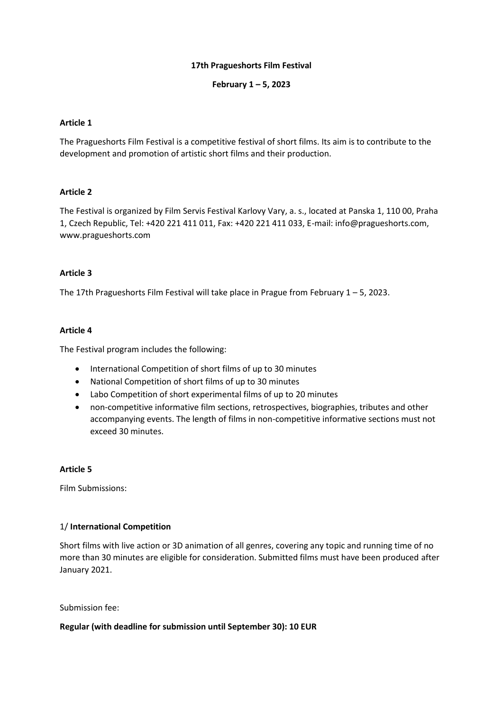# **17th Pragueshorts Film Festival**

# **February 1 – 5, 2023**

### **Article 1**

The Pragueshorts Film Festival is a competitive festival of short films. Its aim is to contribute to the development and promotion of artistic short films and their production.

# **Article 2**

The Festival is organized by Film Servis Festival Karlovy Vary, a. s., located at Panska 1, 110 00, Praha 1, Czech Republic, Tel: +420 221 411 011, Fax: +420 221 411 033, E-mail: info@pragueshorts.com, www.pragueshorts.com

# **Article 3**

The 17th Pragueshorts Film Festival will take place in Prague from February 1 – 5, 2023.

# **Article 4**

The Festival program includes the following:

- International Competition of short films of up to 30 minutes
- National Competition of short films of up to 30 minutes
- Labo Competition of short experimental films of up to 20 minutes
- non-competitive informative film sections, retrospectives, biographies, tributes and other accompanying events. The length of films in non-competitive informative sections must not exceed 30 minutes.

#### **Article 5**

Film Submissions:

#### 1/ **International Competition**

Short films with live action or 3D animation of all genres, covering any topic and running time of no more than 30 minutes are eligible for consideration. Submitted films must have been produced after January 2021.

Submission fee:

#### **Regular (with deadline for submission until September 30): 10 EUR**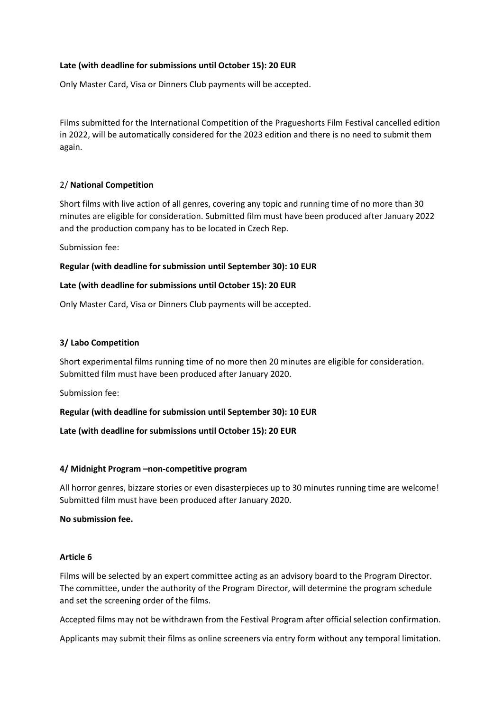# **Late (with deadline for submissions until October 15): 20 EUR**

Only Master Card, Visa or Dinners Club payments will be accepted.

Films submitted for the International Competition of the Pragueshorts Film Festival cancelled edition in 2022, will be automatically considered for the 2023 edition and there is no need to submit them again.

# 2/ **National Competition**

Short films with live action of all genres, covering any topic and running time of no more than 30 minutes are eligible for consideration. Submitted film must have been produced after January 2022 and the production company has to be located in Czech Rep.

Submission fee:

# **Regular (with deadline for submission until September 30): 10 EUR**

# **Late (with deadline for submissions until October 15): 20 EUR**

Only Master Card, Visa or Dinners Club payments will be accepted.

# **3/ Labo Competition**

Short experimental films running time of no more then 20 minutes are eligible for consideration. Submitted film must have been produced after January 2020.

Submission fee:

**Regular (with deadline for submission until September 30): 10 EUR**

**Late (with deadline for submissions until October 15): 20 EUR**

#### **4/ Midnight Program –non-competitive program**

All horror genres, bizzare stories or even disasterpieces up to 30 minutes running time are welcome! Submitted film must have been produced after January 2020.

**No submission fee.**

#### **Article 6**

Films will be selected by an expert committee acting as an advisory board to the Program Director. The committee, under the authority of the Program Director, will determine the program schedule and set the screening order of the films.

Accepted films may not be withdrawn from the Festival Program after official selection confirmation.

Applicants may submit their films as online screeners via entry form without any temporal limitation.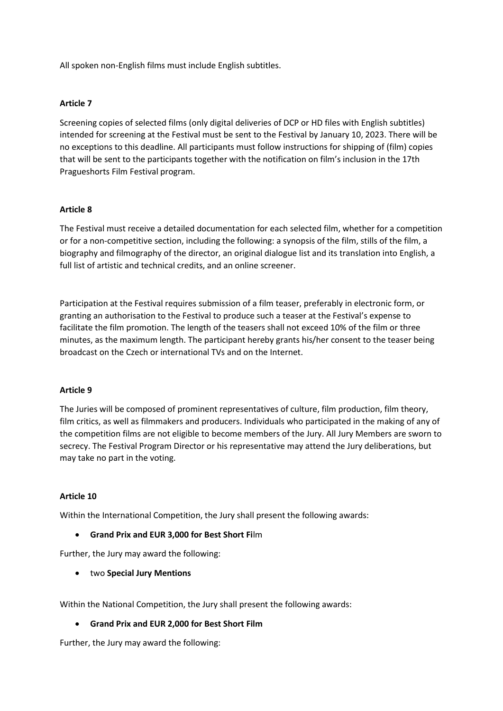All spoken non-English films must include English subtitles.

### **Article 7**

Screening copies of selected films (only digital deliveries of DCP or HD files with English subtitles) intended for screening at the Festival must be sent to the Festival by January 10, 2023. There will be no exceptions to this deadline. All participants must follow instructions for shipping of (film) copies that will be sent to the participants together with the notification on film's inclusion in the 17th Pragueshorts Film Festival program.

# **Article 8**

The Festival must receive a detailed documentation for each selected film, whether for a competition or for a non-competitive section, including the following: a synopsis of the film, stills of the film, a biography and filmography of the director, an original dialogue list and its translation into English, a full list of artistic and technical credits, and an online screener.

Participation at the Festival requires submission of a film teaser, preferably in electronic form, or granting an authorisation to the Festival to produce such a teaser at the Festival's expense to facilitate the film promotion. The length of the teasers shall not exceed 10% of the film or three minutes, as the maximum length. The participant hereby grants his/her consent to the teaser being broadcast on the Czech or international TVs and on the Internet.

#### **Article 9**

The Juries will be composed of prominent representatives of culture, film production, film theory, film critics, as well as filmmakers and producers. Individuals who participated in the making of any of the competition films are not eligible to become members of the Jury. All Jury Members are sworn to secrecy. The Festival Program Director or his representative may attend the Jury deliberations, but may take no part in the voting.

#### **Article 10**

Within the International Competition, the Jury shall present the following awards:

• **Grand Prix and EUR 3,000 for Best Short Fi**lm

Further, the Jury may award the following:

• two **Special Jury Mentions**

Within the National Competition, the Jury shall present the following awards:

#### • **Grand Prix and EUR 2,000 for Best Short Film**

Further, the Jury may award the following: